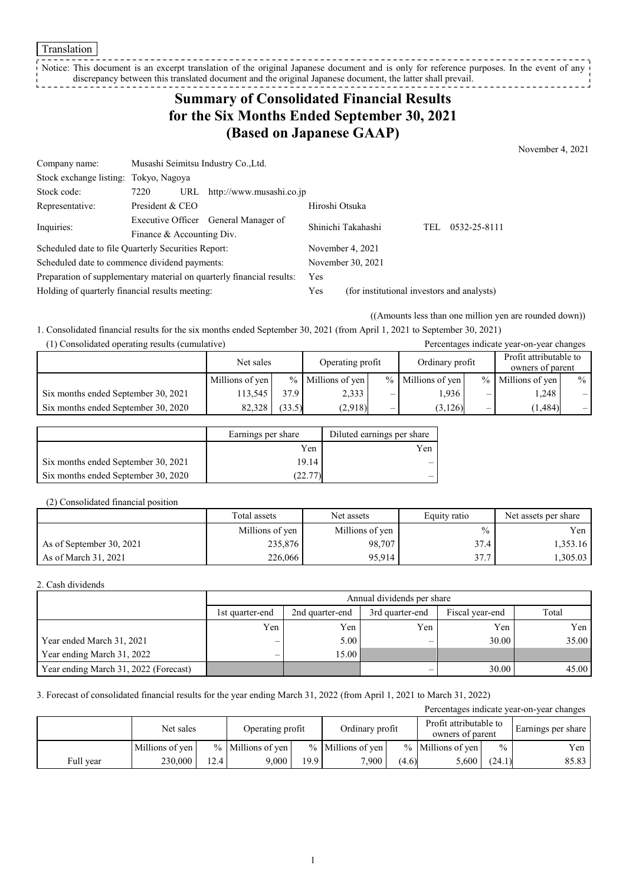Translation

Notice: This document is an excerpt translation of the original Japanese document and is only for reference purposes. In the event of any discrepancy between this translated document and the original Japanese document, the latter shall prevail.

## **Summary of Consolidated Financial Results for the Six Months Ended September 30, 2021 (Based on Japanese GAAP)**

November 4, 2021

| Company name:                                                         | Musashi Seimitsu Industry Co., Ltd.  |     |                          |                                            |     |              |  |
|-----------------------------------------------------------------------|--------------------------------------|-----|--------------------------|--------------------------------------------|-----|--------------|--|
| Stock exchange listing: Tokyo, Nagoya                                 |                                      |     |                          |                                            |     |              |  |
| Stock code:                                                           | 7220                                 | URL | http://www.musashi.co.jp |                                            |     |              |  |
| Representative:                                                       | President & CEO                      |     |                          | Hiroshi Otsuka                             |     |              |  |
| Inquiries:                                                            | Executive Officer General Manager of |     | Shinichi Takahashi       |                                            | TEL | 0532-25-8111 |  |
|                                                                       | Finance & Accounting Div.            |     |                          |                                            |     |              |  |
| Scheduled date to file Quarterly Securities Report:                   |                                      |     |                          | November 4, 2021                           |     |              |  |
| Scheduled date to commence dividend payments:                         |                                      |     | November 30, 2021        |                                            |     |              |  |
| Preparation of supplementary material on quarterly financial results: |                                      |     | <b>Yes</b>               |                                            |     |              |  |
| Holding of quarterly financial results meeting:                       |                                      |     | Yes                      | (for institutional investors and analysts) |     |              |  |

((Amounts less than one million yen are rounded down))

Percentages indicate year-on-year changes

1. Consolidated financial results for the six months ended September 30, 2021 (from April 1, 2021 to September 30, 2021)

| (1) Consolidated operating results (cumulative) |  |
|-------------------------------------------------|--|
|-------------------------------------------------|--|

|                                     | Net sales       |        | Operating profit    |   | Ordinary profit     |      | Profit attributable to<br>owners of parent |      |
|-------------------------------------|-----------------|--------|---------------------|---|---------------------|------|--------------------------------------------|------|
|                                     | Millions of yen |        | $%$ Millions of yen |   | $%$ Millions of yen | $\%$ | Millions of yen                            | $\%$ |
| Six months ended September 30, 2021 | 113.545         | 37.9   | 2,333               |   | .936                | –    | 1.248                                      |      |
| Six months ended September 30, 2020 | 82.328          | (33.5) | (2,918)             | — | (3,126)             | —    | (1, 484)                                   |      |

|                                     | Earnings per share | Diluted earnings per share |
|-------------------------------------|--------------------|----------------------------|
|                                     | Yen                | Yen                        |
| Six months ended September 30, 2021 | 19.14              |                            |
| Six months ended September 30, 2020 | 22.77              |                            |

#### (2) Consolidated financial position

|                          | Total assets    | Net assets      | Equity ratio  | Net assets per share |
|--------------------------|-----------------|-----------------|---------------|----------------------|
|                          | Millions of yen | Millions of yen | $\frac{0}{0}$ | Yen l                |
| As of September 30, 2021 | 235,876         | 98,707          | 37.4          | 1,353.16             |
| As of March 31, 2021     | 226,066         | 95.914          | 37.7          | $1,305.03$           |

#### 2. Cash dividends

|                                       | Annual dividends per share |                 |                 |                 |       |  |  |  |
|---------------------------------------|----------------------------|-----------------|-----------------|-----------------|-------|--|--|--|
|                                       | 1st quarter-end            | 2nd quarter-end | 3rd quarter-end | Fiscal year-end | Total |  |  |  |
|                                       | Yen                        | Yen             | Yen             | Yen             | Yen   |  |  |  |
| Year ended March 31, 2021             | $\overline{\phantom{0}}$   | 5.00            | —               | 30.00           | 35.00 |  |  |  |
| Year ending March 31, 2022            | —                          | 15.00           |                 |                 |       |  |  |  |
| Year ending March 31, 2022 (Forecast) |                            |                 | —               | 30.00           | 45.00 |  |  |  |

### 3. Forecast of consolidated financial results for the year ending March 31, 2022 (from April 1, 2021 to March 31, 2022)

| Percentages indicate year-on-year changes |                 |      |                                     |                   |                                            |       |                     |                    |       |
|-------------------------------------------|-----------------|------|-------------------------------------|-------------------|--------------------------------------------|-------|---------------------|--------------------|-------|
|                                           | Net sales       |      | Ordinary profit<br>Operating profit |                   | Profit attributable to<br>owners of parent |       |                     | Earnings per share |       |
|                                           | Millions of yen |      | $%$ Millions of yen                 |                   | $%$ Millions of yen                        |       | $%$ Millions of yen | $\frac{0}{0}$      | Yen   |
| Full year                                 | 230,000         | 12.4 | 9.000                               | 19.9 <sub>1</sub> | 7.900                                      | (4.6) | 5,600               | (24.1)             | 85.83 |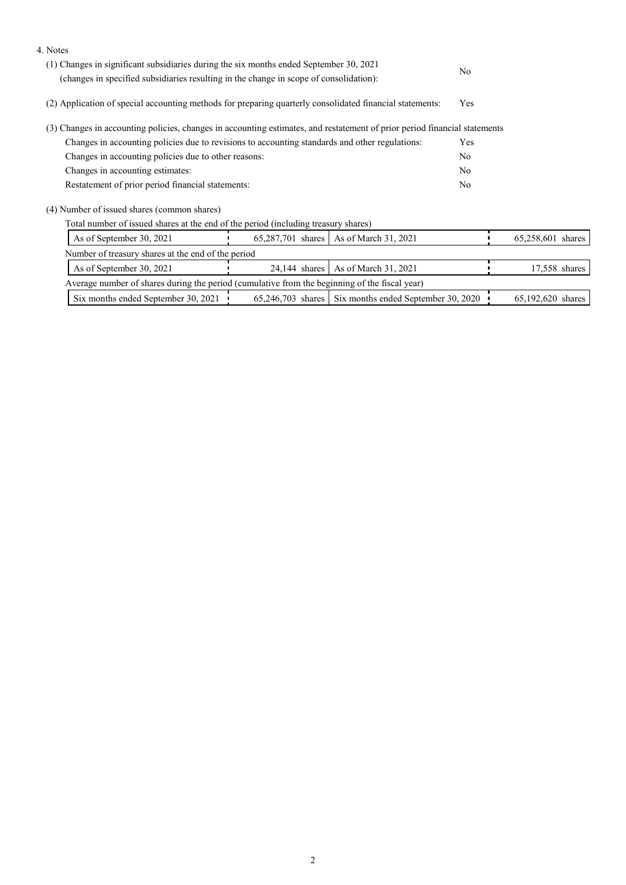| 4. Notes                                                                                                                                                                         |                                                                                                |                                                       |                |                   |               |
|----------------------------------------------------------------------------------------------------------------------------------------------------------------------------------|------------------------------------------------------------------------------------------------|-------------------------------------------------------|----------------|-------------------|---------------|
| (1) Changes in significant subsidiaries during the six months ended September 30, 2021<br>(changes in specified subsidiaries resulting in the change in scope of consolidation): |                                                                                                |                                                       |                |                   |               |
|                                                                                                                                                                                  |                                                                                                |                                                       |                |                   |               |
| (2) Application of special accounting methods for preparing quarterly consolidated financial statements:                                                                         |                                                                                                |                                                       |                |                   |               |
| (3) Changes in accounting policies, changes in accounting estimates, and restatement of prior period financial statements                                                        |                                                                                                |                                                       |                |                   |               |
|                                                                                                                                                                                  | Changes in accounting policies due to revisions to accounting standards and other regulations: |                                                       |                |                   |               |
| Changes in accounting policies due to other reasons:                                                                                                                             |                                                                                                |                                                       | N <sub>o</sub> |                   |               |
| Changes in accounting estimates:                                                                                                                                                 |                                                                                                |                                                       | N <sub>o</sub> |                   |               |
| Restatement of prior period financial statements:                                                                                                                                |                                                                                                |                                                       | N <sub>o</sub> |                   |               |
| (4) Number of issued shares (common shares)                                                                                                                                      |                                                                                                |                                                       |                |                   |               |
| Total number of issued shares at the end of the period (including treasury shares)                                                                                               |                                                                                                |                                                       |                |                   |               |
| As of September 30, 2021                                                                                                                                                         | 65,287,701 shares                                                                              | As of March 31, 2021                                  |                | 65,258,601 shares |               |
| Number of treasury shares at the end of the period                                                                                                                               |                                                                                                |                                                       |                |                   |               |
| As of September 30, 2021                                                                                                                                                         | $24,144$ shares                                                                                | As of March 31, 2021                                  |                |                   | 17,558 shares |
| Average number of shares during the period (cumulative from the beginning of the fiscal year)                                                                                    |                                                                                                |                                                       |                |                   |               |
| Six months ended September 30, 2021                                                                                                                                              |                                                                                                | 65,246,703 shares Six months ended September 30, 2020 |                | 65,192,620 shares |               |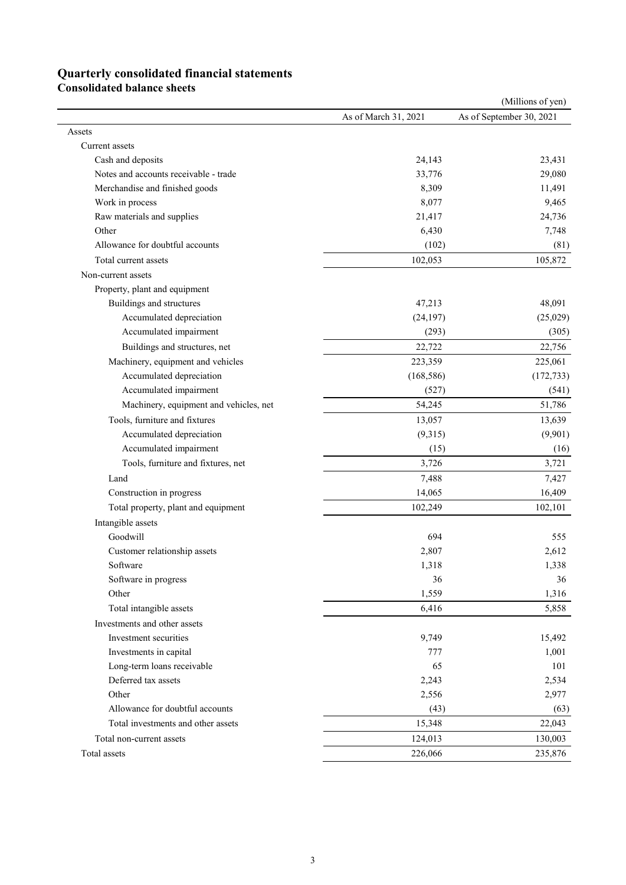# **Quarterly consolidated financial statements**

**Consolidated balance sheets** 

|                                                                                                                                          |                                                        | (Millions of yen)        |
|------------------------------------------------------------------------------------------------------------------------------------------|--------------------------------------------------------|--------------------------|
|                                                                                                                                          | As of March 31, 2021                                   | As of September 30, 2021 |
|                                                                                                                                          |                                                        |                          |
| Current assets                                                                                                                           |                                                        |                          |
| Cash and deposits                                                                                                                        | 24,143                                                 | 23,431                   |
| Notes and accounts receivable - trade                                                                                                    | 33,776                                                 | 29,080                   |
| Merchandise and finished goods                                                                                                           | 8,309                                                  | 11,491                   |
| Work in process                                                                                                                          | 8,077                                                  | 9,465                    |
| Raw materials and supplies                                                                                                               | 21,417                                                 | 24,736                   |
|                                                                                                                                          | 6,430                                                  | 7,748                    |
| Allowance for doubtful accounts                                                                                                          | (102)                                                  | (81)                     |
| Total current assets                                                                                                                     | 102,053                                                | 105,872                  |
| Non-current assets                                                                                                                       |                                                        |                          |
| Property, plant and equipment                                                                                                            |                                                        |                          |
| Buildings and structures                                                                                                                 | 47,213                                                 | 48,091                   |
| Accumulated depreciation                                                                                                                 | (24, 197)                                              | (25,029)                 |
| Accumulated impairment                                                                                                                   | (293)                                                  | (305)                    |
| Buildings and structures, net                                                                                                            | 22,722                                                 | 22,756                   |
| Machinery, equipment and vehicles                                                                                                        | 223,359                                                | 225,061                  |
| Accumulated depreciation                                                                                                                 | (168, 586)                                             | (172, 733)               |
| Accumulated impairment                                                                                                                   | (527)                                                  | (541)                    |
| Machinery, equipment and vehicles, net                                                                                                   | 54,245                                                 | 51,786                   |
|                                                                                                                                          |                                                        |                          |
| Tools, furniture and fixtures                                                                                                            | 13,057                                                 | 13,639                   |
| Accumulated depreciation                                                                                                                 | (9,315)                                                | (9,901)                  |
| Accumulated impairment                                                                                                                   | (15)                                                   | (16)                     |
| Tools, furniture and fixtures, net                                                                                                       | 3,726                                                  | 3,721                    |
| Land                                                                                                                                     | 7,488                                                  | 7,427                    |
| Construction in progress                                                                                                                 | 14,065                                                 | 16,409                   |
| Total property, plant and equipment                                                                                                      | 102,249                                                | 102,101                  |
| Intangible assets                                                                                                                        |                                                        |                          |
| Goodwill                                                                                                                                 | 694                                                    | 555                      |
| Customer relationship assets                                                                                                             | 2,807                                                  | 2,612                    |
| Software                                                                                                                                 | 1,318                                                  | 1,338                    |
| Software in progress                                                                                                                     | 36                                                     | 36                       |
| Other                                                                                                                                    | 1,559                                                  | 1,316                    |
| Total intangible assets                                                                                                                  | 6,416                                                  | 5,858                    |
| Investments and other assets                                                                                                             |                                                        |                          |
| Investment securities                                                                                                                    | 9,749                                                  | 15,492                   |
| Investments in capital                                                                                                                   | 777                                                    | 1,001                    |
| Long-term loans receivable                                                                                                               | 65                                                     | 101                      |
|                                                                                                                                          |                                                        | 2,534                    |
| Other                                                                                                                                    |                                                        | 2,977                    |
|                                                                                                                                          |                                                        | (63)                     |
|                                                                                                                                          |                                                        | 22,043                   |
|                                                                                                                                          |                                                        | 130,003                  |
|                                                                                                                                          |                                                        | 235,876                  |
| Deferred tax assets<br>Allowance for doubtful accounts<br>Total investments and other assets<br>Total non-current assets<br>Total assets | 2,243<br>2,556<br>(43)<br>15,348<br>124,013<br>226,066 |                          |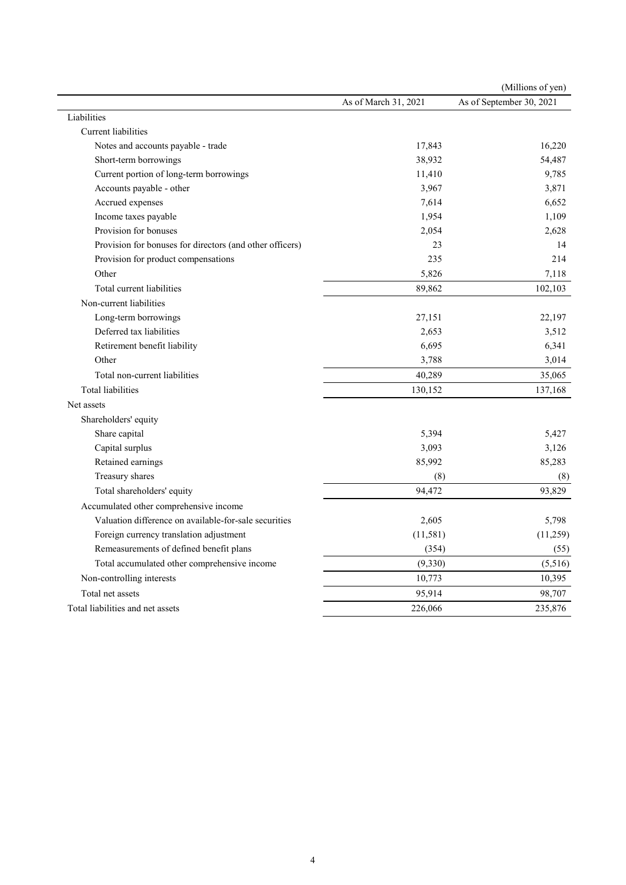|                                                          |                      | (Millions of yen)        |
|----------------------------------------------------------|----------------------|--------------------------|
|                                                          | As of March 31, 2021 | As of September 30, 2021 |
| Liabilities                                              |                      |                          |
| Current liabilities                                      |                      |                          |
| Notes and accounts payable - trade                       | 17,843               | 16,220                   |
| Short-term borrowings                                    | 38,932               | 54,487                   |
| Current portion of long-term borrowings                  | 11,410               | 9,785                    |
| Accounts payable - other                                 | 3,967                | 3,871                    |
| Accrued expenses                                         | 7,614                | 6,652                    |
| Income taxes payable                                     | 1,954                | 1,109                    |
| Provision for bonuses                                    | 2,054                | 2,628                    |
| Provision for bonuses for directors (and other officers) | 23                   | 14                       |
| Provision for product compensations                      | 235                  | 214                      |
| Other                                                    | 5,826                | 7,118                    |
| Total current liabilities                                | 89,862               | 102,103                  |
| Non-current liabilities                                  |                      |                          |
| Long-term borrowings                                     | 27,151               | 22,197                   |
| Deferred tax liabilities                                 | 2,653                | 3,512                    |
| Retirement benefit liability                             | 6,695                | 6,341                    |
| Other                                                    | 3,788                | 3,014                    |
| Total non-current liabilities                            | 40,289               | 35,065                   |
| <b>Total liabilities</b>                                 | 130,152              | 137,168                  |
| Net assets                                               |                      |                          |
| Shareholders' equity                                     |                      |                          |
| Share capital                                            | 5,394                | 5,427                    |
| Capital surplus                                          | 3,093                | 3,126                    |
| Retained earnings                                        | 85,992               | 85,283                   |
| Treasury shares                                          | (8)                  | (8)                      |
| Total shareholders' equity                               | 94,472               | 93,829                   |
| Accumulated other comprehensive income                   |                      |                          |
| Valuation difference on available-for-sale securities    | 2,605                | 5,798                    |
| Foreign currency translation adjustment                  | (11,581)             | (11,259)                 |
| Remeasurements of defined benefit plans                  | (354)                | (55)                     |
| Total accumulated other comprehensive income             | (9, 330)             | (5,516)                  |
| Non-controlling interests                                | 10,773               | 10,395                   |
| Total net assets                                         | 95,914               | 98,707                   |
| Total liabilities and net assets                         | 226,066              | 235,876                  |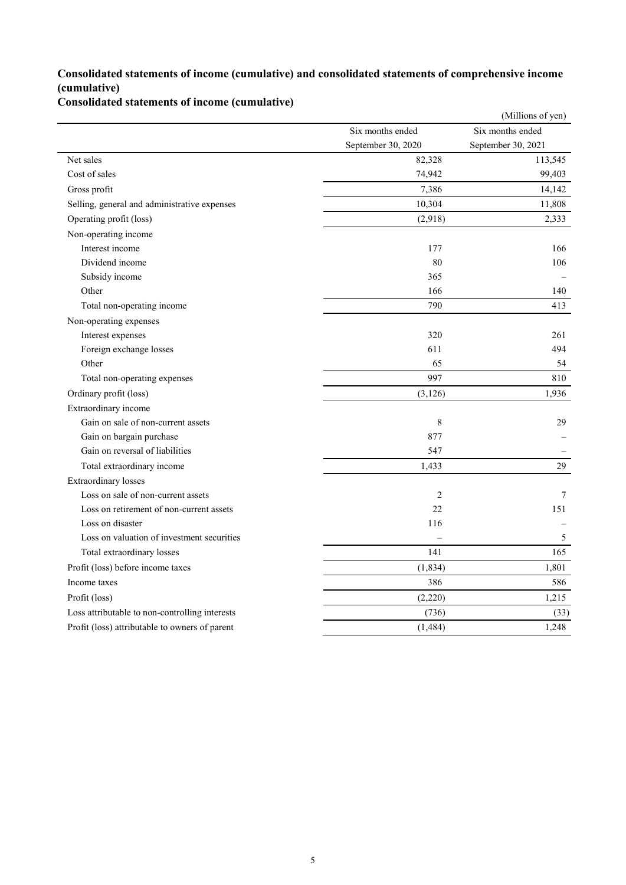### **Consolidated statements of income (cumulative) and consolidated statements of comprehensive income (cumulative)**

## **Consolidated statements of income (cumulative)**

|                                                |                    | (Millions of yen)  |
|------------------------------------------------|--------------------|--------------------|
|                                                | Six months ended   | Six months ended   |
|                                                | September 30, 2020 | September 30, 2021 |
| Net sales                                      | 82,328             | 113,545            |
| Cost of sales                                  | 74,942             | 99,403             |
| Gross profit                                   | 7,386              | 14,142             |
| Selling, general and administrative expenses   | 10,304             | 11,808             |
| Operating profit (loss)                        | (2,918)            | 2,333              |
| Non-operating income                           |                    |                    |
| Interest income                                | 177                | 166                |
| Dividend income                                | 80                 | 106                |
| Subsidy income                                 | 365                |                    |
| Other                                          | 166                | 140                |
| Total non-operating income                     | 790                | 413                |
| Non-operating expenses                         |                    |                    |
| Interest expenses                              | 320                | 261                |
| Foreign exchange losses                        | 611                | 494                |
| Other                                          | 65                 | 54                 |
| Total non-operating expenses                   | 997                | 810                |
| Ordinary profit (loss)                         | (3, 126)           | 1,936              |
| Extraordinary income                           |                    |                    |
| Gain on sale of non-current assets             | 8                  | 29                 |
| Gain on bargain purchase                       | 877                |                    |
| Gain on reversal of liabilities                | 547                |                    |
| Total extraordinary income                     | 1,433              | 29                 |
| <b>Extraordinary</b> losses                    |                    |                    |
| Loss on sale of non-current assets             | $\mathbf{2}$       | 7                  |
| Loss on retirement of non-current assets       | 22                 | 151                |
| Loss on disaster                               | 116                |                    |
| Loss on valuation of investment securities     |                    | 5                  |
| Total extraordinary losses                     | 141                | 165                |
| Profit (loss) before income taxes              | (1, 834)           | 1,801              |
| Income taxes                                   | 386                | 586                |
| Profit (loss)                                  | (2,220)            | 1,215              |
| Loss attributable to non-controlling interests | (736)              | (33)               |
| Profit (loss) attributable to owners of parent | (1, 484)           | 1,248              |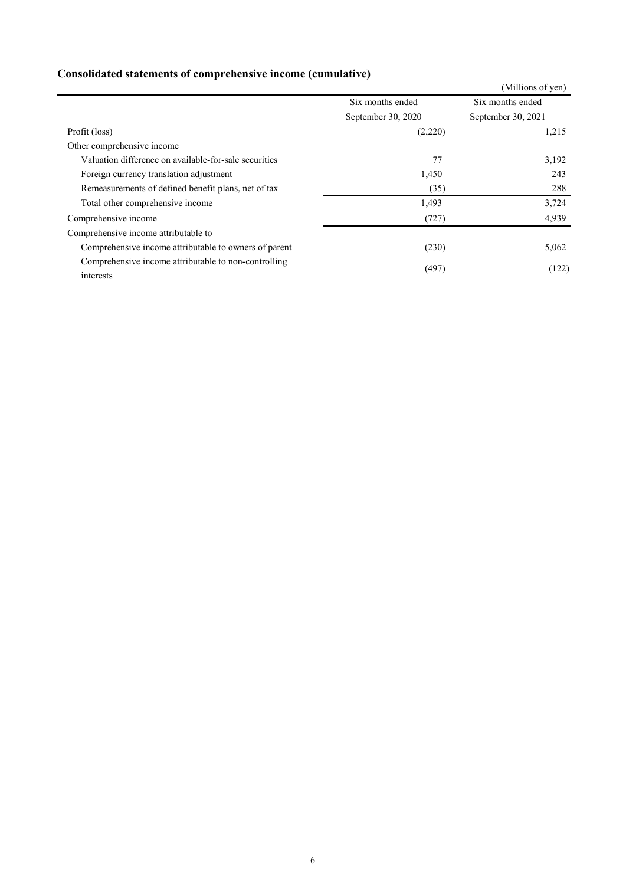|                                                                   |                    | (Millions of yen)  |
|-------------------------------------------------------------------|--------------------|--------------------|
|                                                                   | Six months ended   | Six months ended   |
|                                                                   | September 30, 2020 | September 30, 2021 |
| Profit (loss)                                                     | (2,220)            | 1,215              |
| Other comprehensive income                                        |                    |                    |
| Valuation difference on available-for-sale securities             | 77                 | 3,192              |
| Foreign currency translation adjustment                           | 1,450              | 243                |
| Remeasurements of defined benefit plans, net of tax               | (35)               | 288                |
| Total other comprehensive income                                  | 1,493              | 3,724              |
| Comprehensive income                                              | (727)              | 4,939              |
| Comprehensive income attributable to                              |                    |                    |
| Comprehensive income attributable to owners of parent             | (230)              | 5,062              |
| Comprehensive income attributable to non-controlling<br>interests | (497)              | (122)              |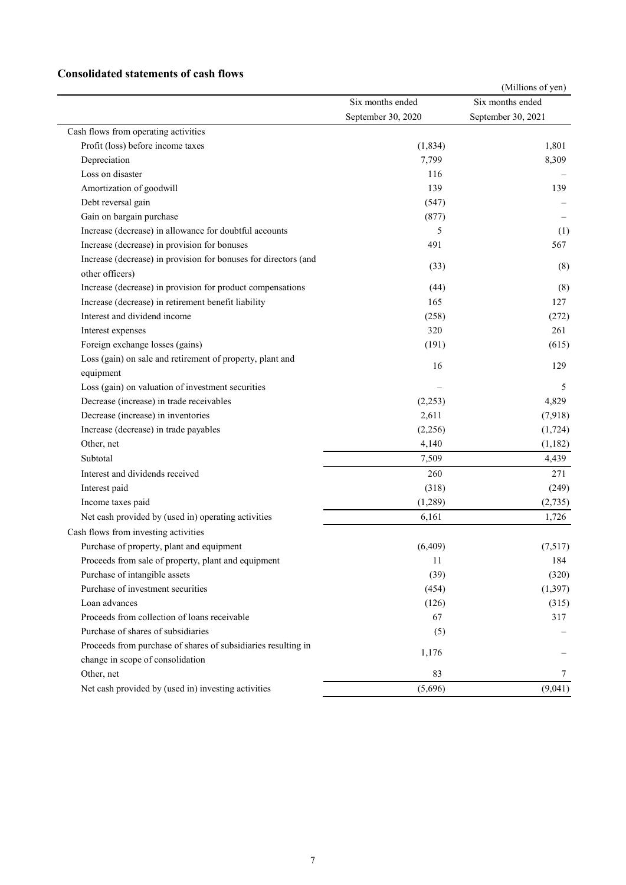### **Consolidated statements of cash flows**

|                                                                 |                                        | (Millions of yen)                      |
|-----------------------------------------------------------------|----------------------------------------|----------------------------------------|
|                                                                 | Six months ended<br>September 30, 2020 | Six months ended<br>September 30, 2021 |
|                                                                 |                                        |                                        |
| Cash flows from operating activities                            |                                        |                                        |
| Profit (loss) before income taxes                               | (1, 834)                               | 1,801                                  |
| Depreciation                                                    | 7,799                                  | 8,309                                  |
| Loss on disaster                                                | 116                                    |                                        |
| Amortization of goodwill                                        | 139                                    | 139                                    |
| Debt reversal gain                                              | (547)                                  |                                        |
| Gain on bargain purchase                                        | (877)                                  |                                        |
| Increase (decrease) in allowance for doubtful accounts          | 5                                      | (1)                                    |
| Increase (decrease) in provision for bonuses                    | 491                                    | 567                                    |
| Increase (decrease) in provision for bonuses for directors (and |                                        |                                        |
| other officers)                                                 | (33)                                   | (8)                                    |
| Increase (decrease) in provision for product compensations      | (44)                                   | (8)                                    |
| Increase (decrease) in retirement benefit liability             | 165                                    | 127                                    |
| Interest and dividend income                                    | (258)                                  | (272)                                  |
| Interest expenses                                               | 320                                    | 261                                    |
| Foreign exchange losses (gains)                                 | (191)                                  | (615)                                  |
| Loss (gain) on sale and retirement of property, plant and       |                                        |                                        |
| equipment                                                       | 16                                     | 129                                    |
| Loss (gain) on valuation of investment securities               |                                        | 5                                      |
| Decrease (increase) in trade receivables                        | (2,253)                                | 4,829                                  |
| Decrease (increase) in inventories                              | 2,611                                  | (7,918)                                |
| Increase (decrease) in trade payables                           | (2,256)                                | (1, 724)                               |
| Other, net                                                      | 4,140                                  | (1,182)                                |
| Subtotal                                                        | 7,509                                  | 4,439                                  |
| Interest and dividends received                                 | 260                                    | 271                                    |
| Interest paid                                                   | (318)                                  | (249)                                  |
| Income taxes paid                                               | (1,289)                                | (2,735)                                |
| Net cash provided by (used in) operating activities             | 6,161                                  | 1,726                                  |
| Cash flows from investing activities                            |                                        |                                        |
| Purchase of property, plant and equipment                       | (6, 409)                               | (7,517)                                |
| Proceeds from sale of property, plant and equipment             | 11                                     | 184                                    |
| Purchase of intangible assets                                   | (39)                                   | (320)                                  |
| Purchase of investment securities                               | (454)                                  | (1, 397)                               |
| Loan advances                                                   | (126)                                  | (315)                                  |
| Proceeds from collection of loans receivable                    | 67                                     | 317                                    |
| Purchase of shares of subsidiaries                              | (5)                                    |                                        |
| Proceeds from purchase of shares of subsidiaries resulting in   | 1,176                                  |                                        |
| change in scope of consolidation                                |                                        |                                        |
| Other, net                                                      | 83                                     | 7                                      |
| Net cash provided by (used in) investing activities             | (5,696)                                | (9,041)                                |